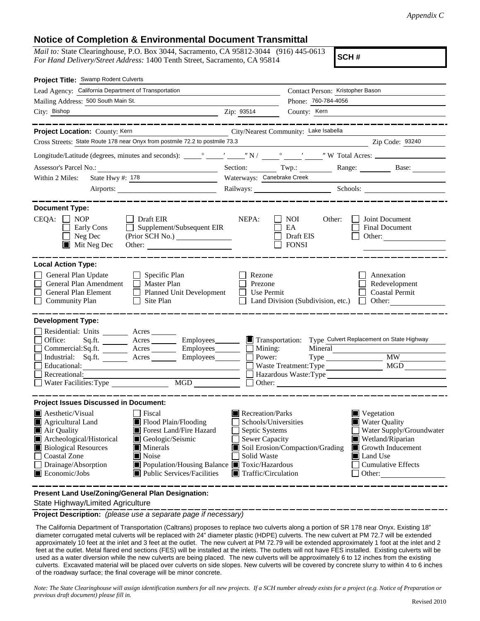## **Notice of Completion & Environmental Document Transmittal**

*Mail to:* State Clearinghouse, P.O. Box 3044, Sacramento, CA 95812-3044 (916) 445-0613 *For Hand Delivery/Street Address:* 1400 Tenth Street, Sacramento, CA 95814

**SCH #**

| Project Title: Swamp Rodent Culverts                                                                                                                                                   |                                                                                                                                                                                  |                                                                                                                                   |                                                                  |                                                                                                                                                            |  |  |  |  |
|----------------------------------------------------------------------------------------------------------------------------------------------------------------------------------------|----------------------------------------------------------------------------------------------------------------------------------------------------------------------------------|-----------------------------------------------------------------------------------------------------------------------------------|------------------------------------------------------------------|------------------------------------------------------------------------------------------------------------------------------------------------------------|--|--|--|--|
| Lead Agency: California Department of Transportation                                                                                                                                   |                                                                                                                                                                                  |                                                                                                                                   | Contact Person: Kristopher Bason                                 |                                                                                                                                                            |  |  |  |  |
| Mailing Address: 500 South Main St.                                                                                                                                                    | Phone: 760-784-4056                                                                                                                                                              |                                                                                                                                   |                                                                  |                                                                                                                                                            |  |  |  |  |
| City: Bishop                                                                                                                                                                           |                                                                                                                                                                                  | Zip: 93514                                                                                                                        | County: Kern                                                     |                                                                                                                                                            |  |  |  |  |
|                                                                                                                                                                                        | ______________                                                                                                                                                                   |                                                                                                                                   |                                                                  | ________________                                                                                                                                           |  |  |  |  |
| City/Nearest Community: Lake Isabella<br>Project Location: County: Kern<br><u> 1980 - Johann Barbara, martin a</u>                                                                     |                                                                                                                                                                                  |                                                                                                                                   |                                                                  |                                                                                                                                                            |  |  |  |  |
| Cross Streets: State Route 178 near Onyx from postmile 72.2 to postmile 73.3<br>Zip Code: 93240                                                                                        |                                                                                                                                                                                  |                                                                                                                                   |                                                                  |                                                                                                                                                            |  |  |  |  |
|                                                                                                                                                                                        |                                                                                                                                                                                  |                                                                                                                                   |                                                                  |                                                                                                                                                            |  |  |  |  |
|                                                                                                                                                                                        |                                                                                                                                                                                  | Section: Twp.:                                                                                                                    |                                                                  | Range: Base:                                                                                                                                               |  |  |  |  |
| State Hwy #: 178<br>Within 2 Miles:                                                                                                                                                    |                                                                                                                                                                                  | Waterways: Canebrake Creek                                                                                                        |                                                                  |                                                                                                                                                            |  |  |  |  |
|                                                                                                                                                                                        |                                                                                                                                                                                  |                                                                                                                                   |                                                                  | Railways: Schools: Schools:                                                                                                                                |  |  |  |  |
|                                                                                                                                                                                        |                                                                                                                                                                                  |                                                                                                                                   |                                                                  |                                                                                                                                                            |  |  |  |  |
| <b>Document Type:</b><br>$CEQA: \Box NP$<br>Early Cons<br>Neg Dec<br>$\blacksquare$ Mit Neg Dec                                                                                        | $\Box$ Draft EIR<br>Supplement/Subsequent EIR<br>$\perp$<br>(Prior SCH No.)                                                                                                      | NEPA:                                                                                                                             | <b>NOI</b><br>Other:<br>EA<br>Draft EIS<br><b>FONSI</b>          | Joint Document<br><b>Final Document</b><br>Other: $\frac{1}{\sqrt{1-\frac{1}{2}}\cdot\frac{1}{2}}$                                                         |  |  |  |  |
| <b>Local Action Type:</b>                                                                                                                                                              |                                                                                                                                                                                  |                                                                                                                                   |                                                                  |                                                                                                                                                            |  |  |  |  |
| General Plan Update<br>General Plan Amendment<br>General Plan Element<br><b>Community Plan</b>                                                                                         | $\Box$ Specific Plan<br>$\Box$ Master Plan<br>Planned Unit Development<br>Site Plan<br>$\perp$                                                                                   | Rezone<br>Prezone<br>Use Permit                                                                                                   | Land Division (Subdivision, etc.) $\Box$                         | Annexation<br>Redevelopment<br><b>Coastal Permit</b><br>Other:                                                                                             |  |  |  |  |
| <b>Development Type:</b>                                                                                                                                                               |                                                                                                                                                                                  |                                                                                                                                   |                                                                  |                                                                                                                                                            |  |  |  |  |
| Residential: Units ________ Acres _______<br>Office:<br>Industrial: Sq.ft.<br>Educational:<br>Recreational:<br>Water Facilities: Type                                                  | Sq.ft. _________ Acres ___________ Employees_________<br>Commercial:Sq.ft. ________ Acres _________ Employees ________ $\Box$ Mining:<br>$Employes$ <sub>________</sub>          | $\blacksquare$ Transportation:<br>Power:                                                                                          | Mineral<br>Type<br>Waste Treatment: Type<br>$\Box$ Other: $\Box$ | Type Culvert Replacement on State Highway<br><b>MW</b><br>MGD<br>Hazardous Waste: Type                                                                     |  |  |  |  |
| <b>Project Issues Discussed in Document:</b>                                                                                                                                           |                                                                                                                                                                                  |                                                                                                                                   |                                                                  |                                                                                                                                                            |  |  |  |  |
| <b>A</b> esthetic/Visual<br>Agricultural Land<br>Air Quality<br>Archeological/Historical<br><b>Biological Resources</b><br><b>Coastal Zone</b><br>Drainage/Absorption<br>Economic/Jobs | Fiscal<br>Flood Plain/Flooding<br>Forest Land/Fire Hazard<br>Geologic/Seismic<br>Minerals<br>Noise<br>Population/Housing Balance Toxic/Hazardous<br>■ Public Services/Facilities | Recreation/Parks<br>Schools/Universities<br>Septic Systems<br>Sewer Capacity<br>Solid Waste<br>$\blacksquare$ Traffic/Circulation | Soil Erosion/Compaction/Grading                                  | Vegetation<br><b>Water Quality</b><br>Water Supply/Groundwater<br>Wetland/Riparian<br>Growth Inducement<br>Land Use<br><b>Cumulative Effects</b><br>Other: |  |  |  |  |
|                                                                                                                                                                                        |                                                                                                                                                                                  |                                                                                                                                   |                                                                  |                                                                                                                                                            |  |  |  |  |

**Present Land Use/Zoning/General Plan Designation:**

State Highway/Limited Agriculture

**Project Description:** *(please use a separate page if necessary)*

 The California Department of Transportation (Caltrans) proposes to replace two culverts along a portion of SR 178 near Onyx. Existing 18" diameter corrugated metal culverts will be replaced with 24" diameter plastic (HDPE) culverts. The new culvert at PM 72.7 will be extended approximately 10 feet at the inlet and 3 feet at the outlet. The new culvert at PM 72.79 will be extended approximately 1 foot at the inlet and 2 feet at the outlet. Metal flared end sections (FES) will be installed at the inlets. The outlets will not have FES installed. Existing culverts will be used as a water diversion while the new culverts are being placed. The new culverts will be approximately 6 to 12 inches from the existing culverts. Excavated material will be placed over culverts on side slopes. New culverts will be covered by concrete slurry to within 4 to 6 inches of the roadway surface; the final coverage will be minor concrete.

*Note: The State Clearinghouse will assign identification numbers for all new projects. If a SCH number already exists for a project (e.g. Notice of Preparation or previous draft document) please fill in.*